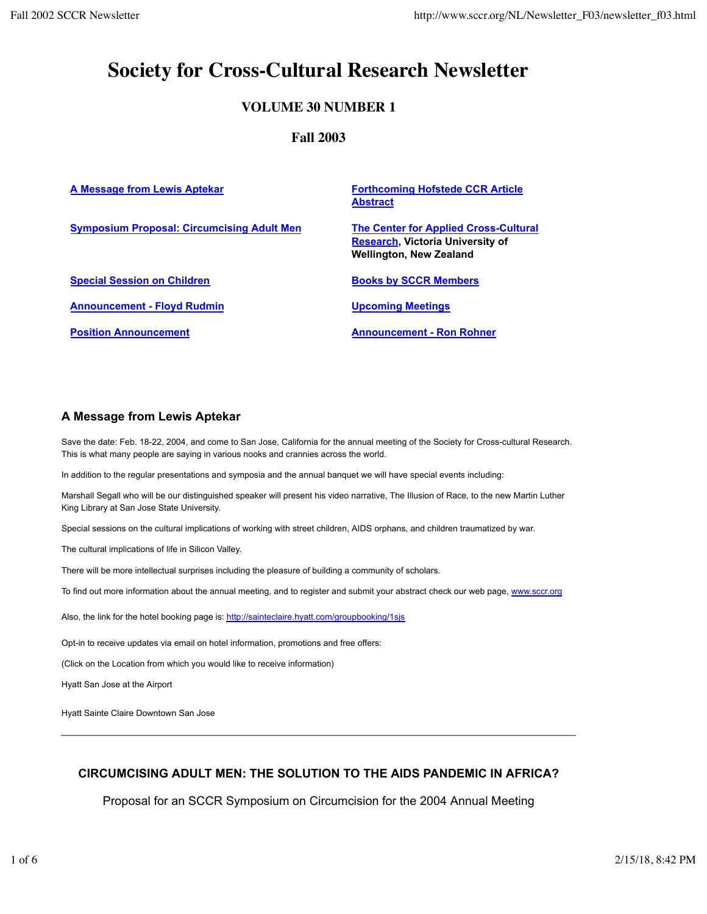# **Society for Cross-Cultural Research Newsletter**

# **VOLUME 30 NUMBER 1**

# **Fall 2003**

| A Message from Lewis Aptekar                      | <b>Forthcoming Hofstede CCR Article</b><br><b>Abstract</b>                                                                |
|---------------------------------------------------|---------------------------------------------------------------------------------------------------------------------------|
| <b>Symposium Proposal: Circumcising Adult Men</b> | <b>The Center for Applied Cross-Cultural</b><br><b>Research, Victoria University of</b><br><b>Wellington, New Zealand</b> |
| <b>Special Session on Children</b>                | <b>Books by SCCR Members</b>                                                                                              |
| <b>Announcement - Floyd Rudmin</b>                | <b>Upcoming Meetings</b>                                                                                                  |
| <b>Position Announcement</b>                      | <b>Announcement - Ron Rohner</b>                                                                                          |

# **A Message from Lewis Aptekar**

Save the date: Feb. 18-22, 2004, and come to San Jose, California for the annual meeting of the Society for Cross-cultural Research. This is what many people are saying in various nooks and crannies across the world.

In addition to the regular presentations and symposia and the annual banquet we will have special events including:

Marshall Segall who will be our distinguished speaker will present his video narrative, The Illusion of Race, to the new Martin Luther King Library at San Jose State University.

Special sessions on the cultural implications of working with street children, AIDS orphans, and children traumatized by war.

The cultural implications of life in Silicon Valley.

There will be more intellectual surprises including the pleasure of building a community of scholars.

To find out more information about the annual meeting, and to register and submit your abstract check our web page, www.sccr.org

Also, the link for the hotel booking page is: http://sainteclaire.hyatt.com/groupbooking/1sjs

Opt-in to receive updates via email on hotel information, promotions and free offers:

(Click on the Location from which you would like to receive information)

Hyatt San Jose at the Airport

Hyatt Sainte Claire Downtown San Jose

# **CIRCUMCISING ADULT MEN: THE SOLUTION TO THE AIDS PANDEMIC IN AFRICA?**

Proposal for an SCCR Symposium on Circumcision for the 2004 Annual Meeting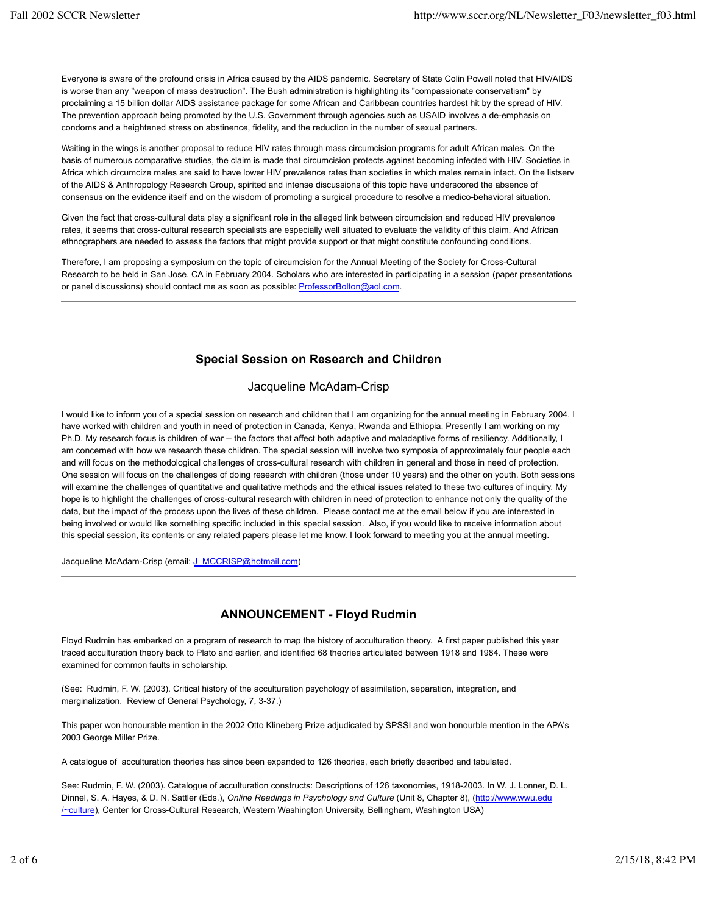Everyone is aware of the profound crisis in Africa caused by the AIDS pandemic. Secretary of State Colin Powell noted that HIV/AIDS is worse than any "weapon of mass destruction". The Bush administration is highlighting its "compassionate conservatism" by proclaiming a 15 billion dollar AIDS assistance package for some African and Caribbean countries hardest hit by the spread of HIV. The prevention approach being promoted by the U.S. Government through agencies such as USAID involves a de-emphasis on condoms and a heightened stress on abstinence, fidelity, and the reduction in the number of sexual partners.

Waiting in the wings is another proposal to reduce HIV rates through mass circumcision programs for adult African males. On the basis of numerous comparative studies, the claim is made that circumcision protects against becoming infected with HIV. Societies in Africa which circumcize males are said to have lower HIV prevalence rates than societies in which males remain intact. On the listserv of the AIDS & Anthropology Research Group, spirited and intense discussions of this topic have underscored the absence of consensus on the evidence itself and on the wisdom of promoting a surgical procedure to resolve a medico-behavioral situation.

Given the fact that cross-cultural data play a significant role in the alleged link between circumcision and reduced HIV prevalence rates, it seems that cross-cultural research specialists are especially well situated to evaluate the validity of this claim. And African ethnographers are needed to assess the factors that might provide support or that might constitute confounding conditions.

Therefore, I am proposing a symposium on the topic of circumcision for the Annual Meeting of the Society for Cross-Cultural Research to be held in San Jose, CA in February 2004. Scholars who are interested in participating in a session (paper presentations or panel discussions) should contact me as soon as possible: ProfessorBolton@aol.com.

# **Special Session on Research and Children**

# Jacqueline McAdam-Crisp

I would like to inform you of a special session on research and children that I am organizing for the annual meeting in February 2004. I have worked with children and youth in need of protection in Canada, Kenya, Rwanda and Ethiopia. Presently I am working on my Ph.D. My research focus is children of war -- the factors that affect both adaptive and maladaptive forms of resiliency. Additionally, I am concerned with how we research these children. The special session will involve two symposia of approximately four people each and will focus on the methodological challenges of cross-cultural research with children in general and those in need of protection. One session will focus on the challenges of doing research with children (those under 10 years) and the other on youth. Both sessions will examine the challenges of quantitative and qualitative methods and the ethical issues related to these two cultures of inquiry. My hope is to highlight the challenges of cross-cultural research with children in need of protection to enhance not only the quality of the data, but the impact of the process upon the lives of these children. Please contact me at the email below if you are interested in being involved or would like something specific included in this special session. Also, if you would like to receive information about this special session, its contents or any related papers please let me know. I look forward to meeting you at the annual meeting.

Jacqueline McAdam-Crisp (email: J\_MCCRISP@hotmail.com)

# **ANNOUNCEMENT - Floyd Rudmin**

Floyd Rudmin has embarked on a program of research to map the history of acculturation theory. A first paper published this year traced acculturation theory back to Plato and earlier, and identified 68 theories articulated between 1918 and 1984. These were examined for common faults in scholarship.

(See: Rudmin, F. W. (2003). Critical history of the acculturation psychology of assimilation, separation, integration, and marginalization. Review of General Psychology, 7, 3-37.)

This paper won honourable mention in the 2002 Otto Klineberg Prize adjudicated by SPSSI and won honourble mention in the APA's 2003 George Miller Prize.

A catalogue of acculturation theories has since been expanded to 126 theories, each briefly described and tabulated.

See: Rudmin, F. W. (2003). Catalogue of acculturation constructs: Descriptions of 126 taxonomies, 1918-2003. In W. J. Lonner, D. L. Dinnel, S. A. Hayes, & D. N. Sattler (Eds.), *Online Readings in Psychology and Culture* (Unit 8, Chapter 8), (http://www.wwu.edu /~culture), Center for Cross-Cultural Research, Western Washington University, Bellingham, Washington USA)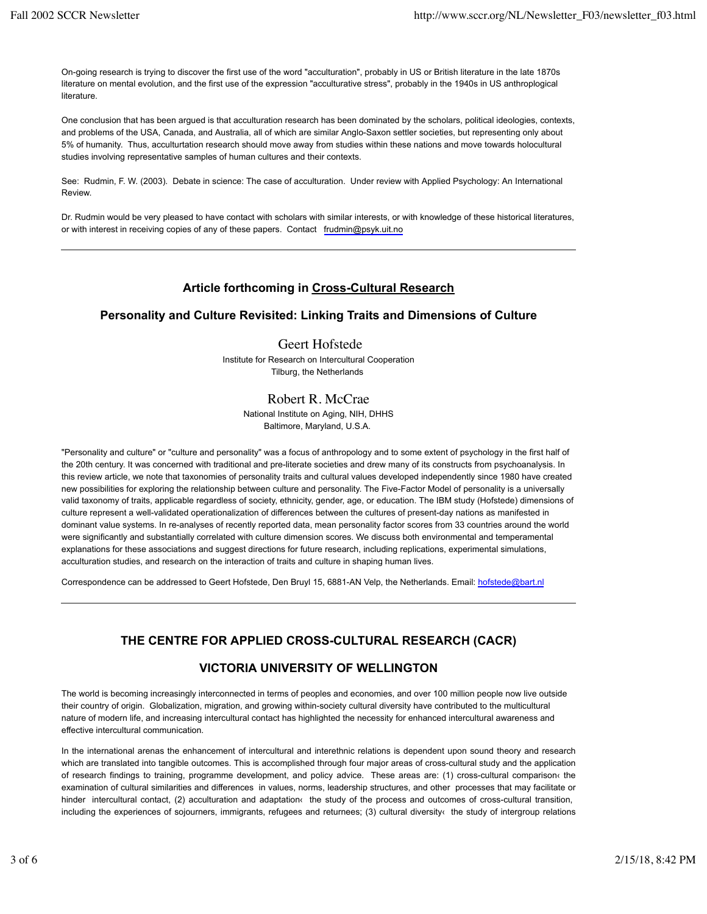On-going research is trying to discover the first use of the word "acculturation", probably in US or British literature in the late 1870s literature on mental evolution, and the first use of the expression "acculturative stress", probably in the 1940s in US anthroplogical literature.

One conclusion that has been argued is that acculturation research has been dominated by the scholars, political ideologies, contexts, and problems of the USA, Canada, and Australia, all of which are similar Anglo-Saxon settler societies, but representing only about 5% of humanity. Thus, acculturtation research should move away from studies within these nations and move towards holocultural studies involving representative samples of human cultures and their contexts.

See: Rudmin, F. W. (2003). Debate in science: The case of acculturation. Under review with Applied Psychology: An International Review.

Dr. Rudmin would be very pleased to have contact with scholars with similar interests, or with knowledge of these historical literatures, or with interest in receiving copies of any of these papers. Contact frudmin@psyk.uit.no

# **Article forthcoming in Cross-Cultural Research**

# **Personality and Culture Revisited: Linking Traits and Dimensions of Culture**

Geert Hofstede Institute for Research on Intercultural Cooperation Tilburg, the Netherlands

### Robert R. McCrae

National Institute on Aging, NIH, DHHS Baltimore, Maryland, U.S.A.

"Personality and culture" or "culture and personality" was a focus of anthropology and to some extent of psychology in the first half of the 20th century. It was concerned with traditional and pre-literate societies and drew many of its constructs from psychoanalysis. In this review article, we note that taxonomies of personality traits and cultural values developed independently since 1980 have created new possibilities for exploring the relationship between culture and personality. The Five-Factor Model of personality is a universally valid taxonomy of traits, applicable regardless of society, ethnicity, gender, age, or education. The IBM study (Hofstede) dimensions of culture represent a well-validated operationalization of differences between the cultures of present-day nations as manifested in dominant value systems. In re-analyses of recently reported data, mean personality factor scores from 33 countries around the world were significantly and substantially correlated with culture dimension scores. We discuss both environmental and temperamental explanations for these associations and suggest directions for future research, including replications, experimental simulations, acculturation studies, and research on the interaction of traits and culture in shaping human lives.

Correspondence can be addressed to Geert Hofstede, Den Bruyl 15, 6881-AN Velp, the Netherlands. Email: hofstede@bart.nl

# **THE CENTRE FOR APPLIED CROSS-CULTURAL RESEARCH (CACR)**

### **VICTORIA UNIVERSITY OF WELLINGTON**

The world is becoming increasingly interconnected in terms of peoples and economies, and over 100 million people now live outside their country of origin. Globalization, migration, and growing within-society cultural diversity have contributed to the multicultural nature of modern life, and increasing intercultural contact has highlighted the necessity for enhanced intercultural awareness and effective intercultural communication.

In the international arenas the enhancement of intercultural and interethnic relations is dependent upon sound theory and research which are translated into tangible outcomes. This is accomplished through four major areas of cross-cultural study and the application of research findings to training, programme development, and policy advice. These areas are: (1) cross-cultural comparison‹ the examination of cultural similarities and differences in values, norms, leadership structures, and other processes that may facilitate or hinder intercultural contact, (2) acculturation and adaptation‹ the study of the process and outcomes of cross-cultural transition, including the experiences of sojourners, immigrants, refugees and returnees; (3) cultural diversity‹ the study of intergroup relations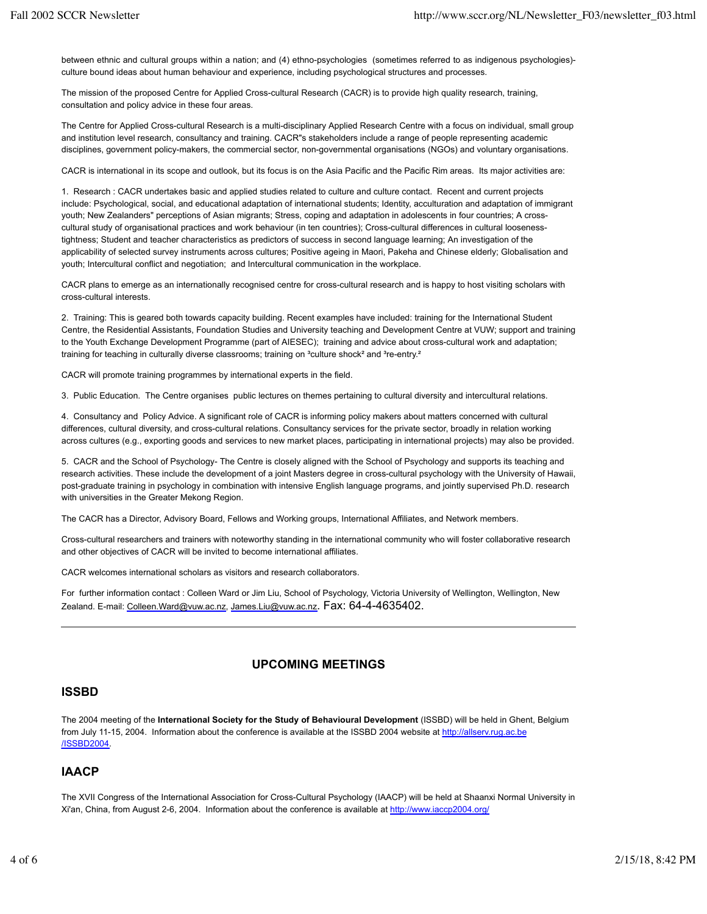between ethnic and cultural groups within a nation; and (4) ethno-psychologies (sometimes referred to as indigenous psychologies) culture bound ideas about human behaviour and experience, including psychological structures and processes.

The mission of the proposed Centre for Applied Cross-cultural Research (CACR) is to provide high quality research, training, consultation and policy advice in these four areas.

The Centre for Applied Cross-cultural Research is a multi-disciplinary Applied Research Centre with a focus on individual, small group and institution level research, consultancy and training. CACR"s stakeholders include a range of people representing academic disciplines, government policy-makers, the commercial sector, non-governmental organisations (NGOs) and voluntary organisations.

CACR is international in its scope and outlook, but its focus is on the Asia Pacific and the Pacific Rim areas. Its major activities are:

1. Research : CACR undertakes basic and applied studies related to culture and culture contact. Recent and current projects include: Psychological, social, and educational adaptation of international students; Identity, acculturation and adaptation of immigrant youth; New Zealanders" perceptions of Asian migrants; Stress, coping and adaptation in adolescents in four countries; A crosscultural study of organisational practices and work behaviour (in ten countries); Cross-cultural differences in cultural loosenesstightness; Student and teacher characteristics as predictors of success in second language learning; An investigation of the applicability of selected survey instruments across cultures; Positive ageing in Maori, Pakeha and Chinese elderly; Globalisation and youth; Intercultural conflict and negotiation; and Intercultural communication in the workplace.

CACR plans to emerge as an internationally recognised centre for cross-cultural research and is happy to host visiting scholars with cross-cultural interests.

2. Training: This is geared both towards capacity building. Recent examples have included: training for the International Student Centre, the Residential Assistants, Foundation Studies and University teaching and Development Centre at VUW; support and training to the Youth Exchange Development Programme (part of AIESEC); training and advice about cross-cultural work and adaptation; training for teaching in culturally diverse classrooms; training on <sup>3</sup>culture shock<sup>2</sup> and <sup>3</sup>re-entry.<sup>2</sup>

CACR will promote training programmes by international experts in the field.

3. Public Education. The Centre organises public lectures on themes pertaining to cultural diversity and intercultural relations.

4. Consultancy and Policy Advice. A significant role of CACR is informing policy makers about matters concerned with cultural differences, cultural diversity, and cross-cultural relations. Consultancy services for the private sector, broadly in relation working across cultures (e.g., exporting goods and services to new market places, participating in international projects) may also be provided.

5. CACR and the School of Psychology- The Centre is closely aligned with the School of Psychology and supports its teaching and research activities. These include the development of a joint Masters degree in cross-cultural psychology with the University of Hawaii, post-graduate training in psychology in combination with intensive English language programs, and jointly supervised Ph.D. research with universities in the Greater Mekong Region.

The CACR has a Director, Advisory Board, Fellows and Working groups, International Affiliates, and Network members.

Cross-cultural researchers and trainers with noteworthy standing in the international community who will foster collaborative research and other objectives of CACR will be invited to become international affiliates.

CACR welcomes international scholars as visitors and research collaborators.

For further information contact : Colleen Ward or Jim Liu, School of Psychology, Victoria University of Wellington, Wellington, New Zealand. E-mail: Colleen.Ward@vuw.ac.nz, James.Liu@vuw.ac.nz. Fax: 64-4-4635402.

# **UPCOMING MEETINGS**

### **ISSBD**

The 2004 meeting of the **International Society for the Study of Behavioural Development** (ISSBD) will be held in Ghent, Belgium from July 11-15, 2004. Information about the conference is available at the ISSBD 2004 website at http://allserv.rug.ac.be /ISSBD2004.

### **IAACP**

The XVII Congress of the International Association for Cross-Cultural Psychology (IAACP) will be held at Shaanxi Normal University in Xi'an, China, from August 2-6, 2004. Information about the conference is available at http://www.iaccp2004.org/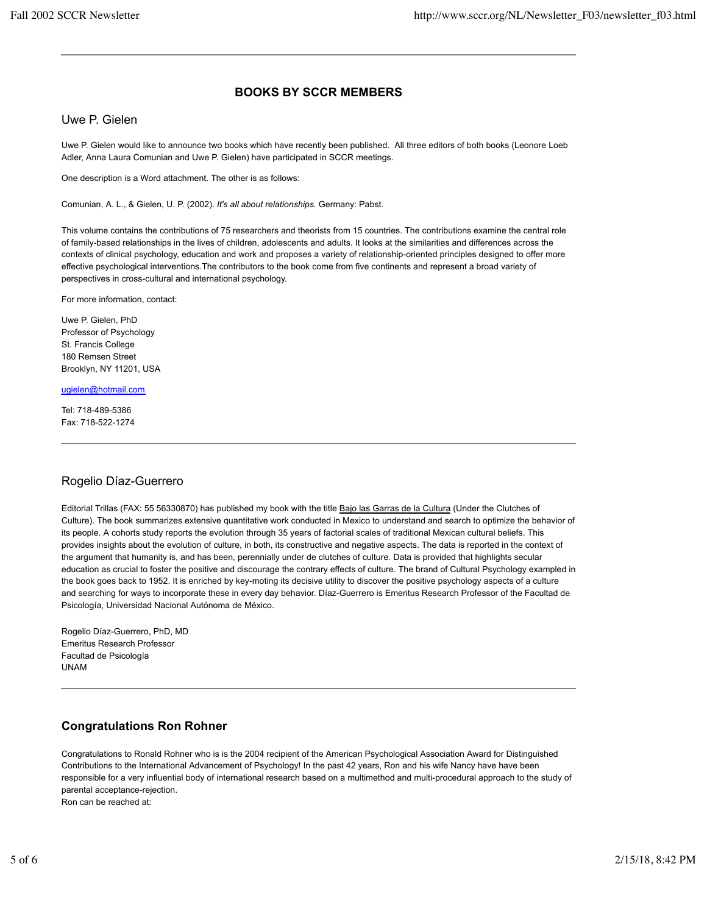# **BOOKS BY SCCR MEMBERS**

Uwe P. Gielen

Uwe P. Gielen would like to announce two books which have recently been published. All three editors of both books (Leonore Loeb Adler, Anna Laura Comunian and Uwe P. Gielen) have participated in SCCR meetings.

One description is a Word attachment. The other is as follows:

Comunian, A. L., & Gielen, U. P. (2002). *It's all about relationships.* Germany: Pabst.

This volume contains the contributions of 75 researchers and theorists from 15 countries. The contributions examine the central role of family-based relationships in the lives of children, adolescents and adults. It looks at the similarities and differences across the contexts of clinical psychology, education and work and proposes a variety of relationship-oriented principles designed to offer more effective psychological interventions.The contributors to the book come from five continents and represent a broad variety of perspectives in cross-cultural and international psychology.

For more information, contact:

Uwe P. Gielen, PhD Professor of Psychology St. Francis College 180 Remsen Street Brooklyn, NY 11201, USA

ugielen@hotmail.com

Tel: 718-489-5386 Fax: 718-522-1274

### Rogelio Díaz-Guerrero

Editorial Trillas (FAX: 55 56330870) has published my book with the title Bajo las Garras de la Cultura (Under the Clutches of Culture). The book summarizes extensive quantitative work conducted in Mexico to understand and search to optimize the behavior of its people. A cohorts study reports the evolution through 35 years of factorial scales of traditional Mexican cultural beliefs. This provides insights about the evolution of culture, in both, its constructive and negative aspects. The data is reported in the context of the argument that humanity is, and has been, perennially under de clutches of culture. Data is provided that highlights secular education as crucial to foster the positive and discourage the contrary effects of culture. The brand of Cultural Psychology exampled in the book goes back to 1952. It is enriched by key-moting its decisive utility to discover the positive psychology aspects of a culture and searching for ways to incorporate these in every day behavior. Díaz-Guerrero is Emeritus Research Professor of the Facultad de Psicología, Universidad Nacional Autónoma de México.

Rogelio Díaz-Guerrero, PhD, MD Emeritus Research Professor Facultad de Psicología UNAM

# **Congratulations Ron Rohner**

Congratulations to Ronald Rohner who is is the 2004 recipient of the American Psychological Association Award for Distinguished Contributions to the International Advancement of Psychology! In the past 42 years, Ron and his wife Nancy have have been responsible for a very influential body of international research based on a multimethod and multi-procedural approach to the study of parental acceptance-rejection.

Ron can be reached at: